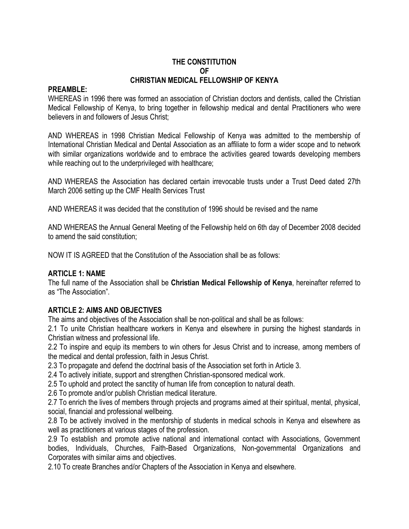#### **THE CONSTITUTION OF CHRISTIAN MEDICAL FELLOWSHIP OF KENYA**

#### **PREAMBLE:**

WHEREAS in 1996 there was formed an association of Christian doctors and dentists, called the Christian Medical Fellowship of Kenya, to bring together in fellowship medical and dental Practitioners who were believers in and followers of Jesus Christ;

AND WHEREAS in 1998 Christian Medical Fellowship of Kenya was admitted to the membership of International Christian Medical and Dental Association as an affiliate to form a wider scope and to network with similar organizations worldwide and to embrace the activities geared towards developing members while reaching out to the underprivileged with healthcare;

AND WHEREAS the Association has declared certain irrevocable trusts under a Trust Deed dated 27th March 2006 setting up the CMF Health Services Trust

AND WHEREAS it was decided that the constitution of 1996 should be revised and the name

AND WHEREAS the Annual General Meeting of the Fellowship held on 6th day of December 2008 decided to amend the said constitution;

NOW IT IS AGREED that the Constitution of the Association shall be as follows:

#### **ARTICLE 1: NAME**

The full name of the Association shall be **Christian Medical Fellowship of Kenya**, hereinafter referred to as "The Association".

#### **ARTICLE 2: AIMS AND OBJECTIVES**

The aims and objectives of the Association shall be non-political and shall be as follows:

2.1 To unite Christian healthcare workers in Kenya and elsewhere in pursing the highest standards in Christian witness and professional life.

2.2 To inspire and equip its members to win others for Jesus Christ and to increase, among members of the medical and dental profession, faith in Jesus Christ.

2.3 To propagate and defend the doctrinal basis of the Association set forth in Article 3.

2.4 To actively initiate, support and strengthen Christian-sponsored medical work.

2.5 To uphold and protect the sanctity of human life from conception to natural death.

2.6 To promote and/or publish Christian medical literature.

2.7 To enrich the lives of members through projects and programs aimed at their spiritual, mental, physical, social, financial and professional wellbeing.

2.8 To be actively involved in the mentorship of students in medical schools in Kenya and elsewhere as well as practitioners at various stages of the profession.

2.9 To establish and promote active national and international contact with Associations, Government bodies, Individuals, Churches, Faith-Based Organizations, Non-governmental Organizations and Corporates with similar aims and objectives.

2.10 To create Branches and/or Chapters of the Association in Kenya and elsewhere.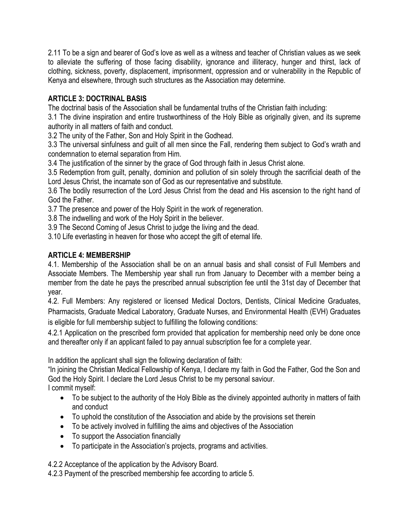2.11 To be a sign and bearer of God's love as well as a witness and teacher of Christian values as we seek to alleviate the suffering of those facing disability, ignorance and illiteracy, hunger and thirst, lack of clothing, sickness, poverty, displacement, imprisonment, oppression and or vulnerability in the Republic of Kenya and elsewhere, through such structures as the Association may determine.

# **ARTICLE 3: DOCTRINAL BASIS**

The doctrinal basis of the Association shall be fundamental truths of the Christian faith including:

3.1 The divine inspiration and entire trustworthiness of the Holy Bible as originally given, and its supreme authority in all matters of faith and conduct.

3.2 The unity of the Father, Son and Holy Spirit in the Godhead.

3.3 The universal sinfulness and guilt of all men since the Fall, rendering them subject to God's wrath and condemnation to eternal separation from Him.

3.4 The justification of the sinner by the grace of God through faith in Jesus Christ alone.

3.5 Redemption from guilt, penalty, dominion and pollution of sin solely through the sacrificial death of the Lord Jesus Christ, the incarnate son of God as our representative and substitute.

3.6 The bodily resurrection of the Lord Jesus Christ from the dead and His ascension to the right hand of God the Father.

3.7 The presence and power of the Holy Spirit in the work of regeneration.

3.8 The indwelling and work of the Holy Spirit in the believer.

3.9 The Second Coming of Jesus Christ to judge the living and the dead.

3.10 Life everlasting in heaven for those who accept the gift of eternal life.

### **ARTICLE 4: MEMBERSHIP**

4.1. Membership of the Association shall be on an annual basis and shall consist of Full Members and Associate Members. The Membership year shall run from January to December with a member being a member from the date he pays the prescribed annual subscription fee until the 31st day of December that year.

4.2. Full Members: Any registered or licensed Medical Doctors, Dentists, Clinical Medicine Graduates, Pharmacists, Graduate Medical Laboratory, Graduate Nurses, and Environmental Health (EVH) Graduates is eligible for full membership subject to fulfilling the following conditions:

4.2.1 Application on the prescribed form provided that application for membership need only be done once and thereafter only if an applicant failed to pay annual subscription fee for a complete year.

In addition the applicant shall sign the following declaration of faith:

"In joining the Christian Medical Fellowship of Kenya, I declare my faith in God the Father, God the Son and God the Holy Spirit. I declare the Lord Jesus Christ to be my personal saviour.

I commit myself:

- To be subject to the authority of the Holy Bible as the divinely appointed authority in matters of faith and conduct
- To uphold the constitution of the Association and abide by the provisions set therein
- To be actively involved in fulfilling the aims and objectives of the Association
- To support the Association financially
- To participate in the Association's projects, programs and activities.

4.2.2 Acceptance of the application by the Advisory Board.

4.2.3 Payment of the prescribed membership fee according to article 5.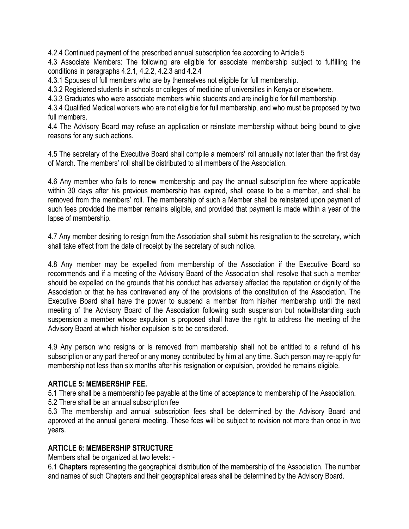4.2.4 Continued payment of the prescribed annual subscription fee according to Article 5

4.3 Associate Members: The following are eligible for associate membership subject to fulfilling the conditions in paragraphs 4.2.1, 4.2.2, 4.2.3 and 4.2.4

4.3.1 Spouses of full members who are by themselves not eligible for full membership.

4.3.2 Registered students in schools or colleges of medicine of universities in Kenya or elsewhere.

4.3.3 Graduates who were associate members while students and are ineligible for full membership.

4.3.4 Qualified Medical workers who are not eligible for full membership, and who must be proposed by two full members.

4.4 The Advisory Board may refuse an application or reinstate membership without being bound to give reasons for any such actions.

4.5 The secretary of the Executive Board shall compile a members' roll annually not later than the first day of March. The members' roll shall be distributed to all members of the Association.

4.6 Any member who fails to renew membership and pay the annual subscription fee where applicable within 30 days after his previous membership has expired, shall cease to be a member, and shall be removed from the members' roll. The membership of such a Member shall be reinstated upon payment of such fees provided the member remains eligible, and provided that payment is made within a year of the lapse of membership.

4.7 Any member desiring to resign from the Association shall submit his resignation to the secretary, which shall take effect from the date of receipt by the secretary of such notice.

4.8 Any member may be expelled from membership of the Association if the Executive Board so recommends and if a meeting of the Advisory Board of the Association shall resolve that such a member should be expelled on the grounds that his conduct has adversely affected the reputation or dignity of the Association or that he has contravened any of the provisions of the constitution of the Association. The Executive Board shall have the power to suspend a member from his/her membership until the next meeting of the Advisory Board of the Association following such suspension but notwithstanding such suspension a member whose expulsion is proposed shall have the right to address the meeting of the Advisory Board at which his/her expulsion is to be considered.

4.9 Any person who resigns or is removed from membership shall not be entitled to a refund of his subscription or any part thereof or any money contributed by him at any time. Such person may re-apply for membership not less than six months after his resignation or expulsion, provided he remains eligible.

#### **ARTICLE 5: MEMBERSHIP FEE.**

5.1 There shall be a membership fee payable at the time of acceptance to membership of the Association.

5.2 There shall be an annual subscription fee

5.3 The membership and annual subscription fees shall be determined by the Advisory Board and approved at the annual general meeting. These fees will be subject to revision not more than once in two years.

#### **ARTICLE 6: MEMBERSHIP STRUCTURE**

Members shall be organized at two levels: -

6.1 **Chapters** representing the geographical distribution of the membership of the Association. The number and names of such Chapters and their geographical areas shall be determined by the Advisory Board.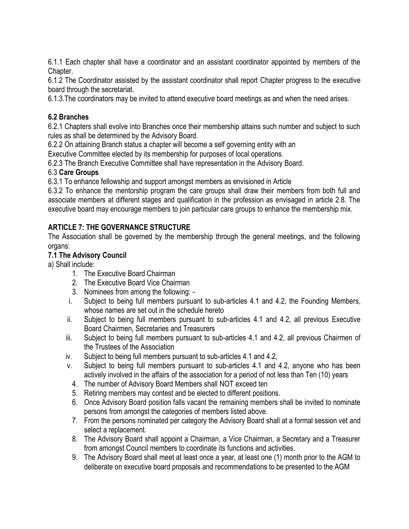6.1.1 Each chapter shall have a coordinator and an assistant coordinator appointed by members of the Chapter.

6.1.2 The Coordinator assisted by the assistant coordinator shall report Chapter progress to the executive board through the secretariat.

6.1.3.The coordinators may be invited to attend executive board meetings as and when the need arises.

## **6.2 Branches**

6.2.1 Chapters shall evolve into Branches once their membership attains such number and subject to such rules as shall be determined by the Advisory Board.

6.2.2 On attaining Branch status a chapter will become a self governing entity with an

Executive Committee elected by its membership for purposes of local operations.

6.2.3 The Branch Executive Committee shall have representation in the Advisory Board.

## 6.3 **Care Groups**

6.3.1 To enhance fellowship and support amongst members as envisioned in Article

6.3.2 To enhance the mentorship program the care groups shall draw their members from both full and associate members at different stages and qualification in the profession as envisaged in article 2.8. The executive board may encourage members to join particular care groups to enhance the membership mix.

# **ARTICLE 7: THE GOVERNANCE STRUCTURE**

The Association shall be governed by the membership through the general meetings, and the following organs:

## **7.1 The Advisory Council**

a) Shall include:

- 1. The Executive Board Chairman
- 2. The Executive Board Vice Chairman
- 3. Nominees from among the following: -
- i. Subject to being full members pursuant to sub-articles 4.1 and 4.2, the Founding Members, whose names are set out in the schedule hereto
- ii. Subject to being full members pursuant to sub-articles 4.1 and 4.2, all previous Executive Board Chairmen, Secretaries and Treasurers
- iii. Subject to being full members pursuant to sub-articles 4.1 and 4.2, all previous Chairmen of the Trustees of the Association
- iv. Subject to being full members pursuant to sub-articles 4.1 and 4.2,
- v. Subject to being full members pursuant to sub-articles 4.1 and 4.2, anyone who has been actively involved in the affairs of the association for a period of not less than Ten (10) years
	- 4. The number of Advisory Board Members shall NOT exceed ten
	- 5. Retiring members may contest and be elected to different positions.
	- 6. Once Advisory Board position falls vacant the remaining members shall be invited to nominate persons from amongst the categories of members listed above.
	- 7. From the persons nominated per category the Advisory Board shall at a formal session vet and select a replacement.
	- 8. The Advisory Board shall appoint a Chairman, a Vice Chairman, a Secretary and a Treasurer from amongst Council members to coordinate its functions and activities.
	- 9. The Advisory Board shall meet at least once a year, at least one (1) month prior to the AGM to deliberate on executive board proposals and recommendations to be presented to the AGM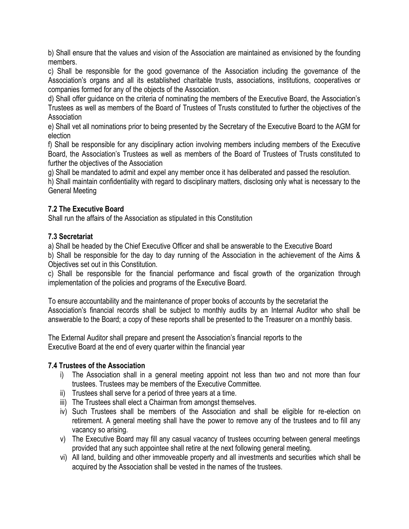b) Shall ensure that the values and vision of the Association are maintained as envisioned by the founding members.

c) Shall be responsible for the good governance of the Association including the governance of the Association's organs and all its established charitable trusts, associations, institutions, cooperatives or companies formed for any of the objects of the Association.

d) Shall offer guidance on the criteria of nominating the members of the Executive Board, the Association's Trustees as well as members of the Board of Trustees of Trusts constituted to further the objectives of the Association

e) Shall vet all nominations prior to being presented by the Secretary of the Executive Board to the AGM for election

f) Shall be responsible for any disciplinary action involving members including members of the Executive Board, the Association's Trustees as well as members of the Board of Trustees of Trusts constituted to further the objectives of the Association

g) Shall be mandated to admit and expel any member once it has deliberated and passed the resolution.

h) Shall maintain confidentiality with regard to disciplinary matters, disclosing only what is necessary to the General Meeting

### **7.2 The Executive Board**

Shall run the affairs of the Association as stipulated in this Constitution

### **7.3 Secretariat**

a) Shall be headed by the Chief Executive Officer and shall be answerable to the Executive Board

b) Shall be responsible for the day to day running of the Association in the achievement of the Aims & Objectives set out in this Constitution.

c) Shall be responsible for the financial performance and fiscal growth of the organization through implementation of the policies and programs of the Executive Board.

To ensure accountability and the maintenance of proper books of accounts by the secretariat the Association's financial records shall be subject to monthly audits by an Internal Auditor who shall be answerable to the Board; a copy of these reports shall be presented to the Treasurer on a monthly basis.

The External Auditor shall prepare and present the Association's financial reports to the Executive Board at the end of every quarter within the financial year

#### **7.4 Trustees of the Association**

- i) The Association shall in a general meeting appoint not less than two and not more than four trustees. Trustees may be members of the Executive Committee.
- ii) Trustees shall serve for a period of three years at a time.
- iii) The Trustees shall elect a Chairman from amongst themselves.
- iv) Such Trustees shall be members of the Association and shall be eligible for re-election on retirement. A general meeting shall have the power to remove any of the trustees and to fill any vacancy so arising.
- v) The Executive Board may fill any casual vacancy of trustees occurring between general meetings provided that any such appointee shall retire at the next following general meeting.
- vi) All land, building and other immoveable property and all investments and securities which shall be acquired by the Association shall be vested in the names of the trustees.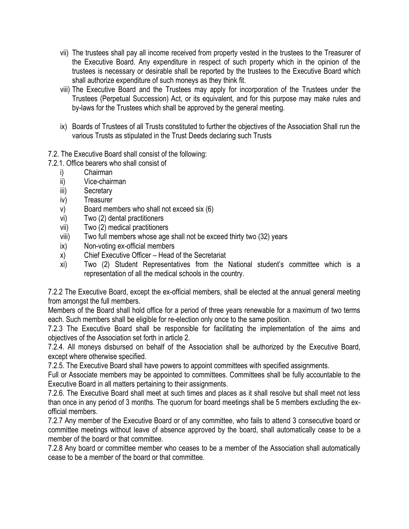- vii) The trustees shall pay all income received from property vested in the trustees to the Treasurer of the Executive Board. Any expenditure in respect of such property which in the opinion of the trustees is necessary or desirable shall be reported by the trustees to the Executive Board which shall authorize expenditure of such moneys as they think fit.
- viii) The Executive Board and the Trustees may apply for incorporation of the Trustees under the Trustees (Perpetual Succession) Act, or its equivalent, and for this purpose may make rules and by-laws for the Trustees which shall be approved by the general meeting.
- ix) Boards of Trustees of all Trusts constituted to further the objectives of the Association Shall run the various Trusts as stipulated in the Trust Deeds declaring such Trusts
- 7.2. The Executive Board shall consist of the following:
- 7.2.1. Office bearers who shall consist of
	- i) Chairman
	- ii) Vice-chairman
	- iii) Secretary
	- iv) Treasurer
	- v) Board members who shall not exceed six (6)
	- vi) Two (2) dental practitioners
	- vii) Two (2) medical practitioners
	- viii) Two full members whose age shall not be exceed thirty two (32) years
	- ix) Non-voting ex-official members
	- x) Chief Executive Officer Head of the Secretariat
	- xi) Two (2) Student Representatives from the National student's committee which is a representation of all the medical schools in the country.

7.2.2 The Executive Board, except the ex-official members, shall be elected at the annual general meeting from amongst the full members.

Members of the Board shall hold office for a period of three years renewable for a maximum of two terms each. Such members shall be eligible for re-election only once to the same position.

7.2.3 The Executive Board shall be responsible for facilitating the implementation of the aims and objectives of the Association set forth in article 2.

7.2.4. All moneys disbursed on behalf of the Association shall be authorized by the Executive Board, except where otherwise specified.

7.2.5. The Executive Board shall have powers to appoint committees with specified assignments.

Full or Associate members may be appointed to committees. Committees shall be fully accountable to the Executive Board in all matters pertaining to their assignments.

7.2.6. The Executive Board shall meet at such times and places as it shall resolve but shall meet not less than once in any period of 3 months. The quorum for board meetings shall be 5 members excluding the exofficial members.

7.2.7 Any member of the Executive Board or of any committee, who fails to attend 3 consecutive board or committee meetings without leave of absence approved by the board, shall automatically cease to be a member of the board or that committee.

7.2.8 Any board or committee member who ceases to be a member of the Association shall automatically cease to be a member of the board or that committee.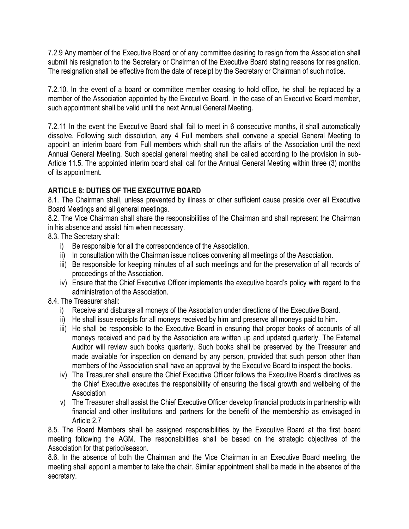7.2.9 Any member of the Executive Board or of any committee desiring to resign from the Association shall submit his resignation to the Secretary or Chairman of the Executive Board stating reasons for resignation. The resignation shall be effective from the date of receipt by the Secretary or Chairman of such notice.

7.2.10. In the event of a board or committee member ceasing to hold office, he shall be replaced by a member of the Association appointed by the Executive Board. In the case of an Executive Board member, such appointment shall be valid until the next Annual General Meeting.

7.2.11 In the event the Executive Board shall fail to meet in 6 consecutive months, it shall automatically dissolve. Following such dissolution, any 4 Full members shall convene a special General Meeting to appoint an interim board from Full members which shall run the affairs of the Association until the next Annual General Meeting. Such special general meeting shall be called according to the provision in sub-Article 11.5. The appointed interim board shall call for the Annual General Meeting within three (3) months of its appointment.

## **ARTICLE 8: DUTIES OF THE EXECUTIVE BOARD**

8.1. The Chairman shall, unless prevented by illness or other sufficient cause preside over all Executive Board Meetings and all general meetings.

8.2. The Vice Chairman shall share the responsibilities of the Chairman and shall represent the Chairman in his absence and assist him when necessary.

8.3. The Secretary shall:

- i) Be responsible for all the correspondence of the Association.
- ii) In consultation with the Chairman issue notices convening all meetings of the Association.
- iii) Be responsible for keeping minutes of all such meetings and for the preservation of all records of proceedings of the Association.
- iv) Ensure that the Chief Executive Officer implements the executive board's policy with regard to the administration of the Association.

8.4. The Treasurer shall:

- i) Receive and disburse all moneys of the Association under directions of the Executive Board.
- ii) He shall issue receipts for all moneys received by him and preserve all moneys paid to him.
- iii) He shall be responsible to the Executive Board in ensuring that proper books of accounts of all moneys received and paid by the Association are written up and updated quarterly. The External Auditor will review such books quarterly. Such books shall be preserved by the Treasurer and made available for inspection on demand by any person, provided that such person other than members of the Association shall have an approval by the Executive Board to inspect the books.
- iv) The Treasurer shall ensure the Chief Executive Officer follows the Executive Board's directives as the Chief Executive executes the responsibility of ensuring the fiscal growth and wellbeing of the **Association**
- v) The Treasurer shall assist the Chief Executive Officer develop financial products in partnership with financial and other institutions and partners for the benefit of the membership as envisaged in Article 2.7

8.5. The Board Members shall be assigned responsibilities by the Executive Board at the first board meeting following the AGM. The responsibilities shall be based on the strategic objectives of the Association for that period/season.

8.6. In the absence of both the Chairman and the Vice Chairman in an Executive Board meeting, the meeting shall appoint a member to take the chair. Similar appointment shall be made in the absence of the secretary.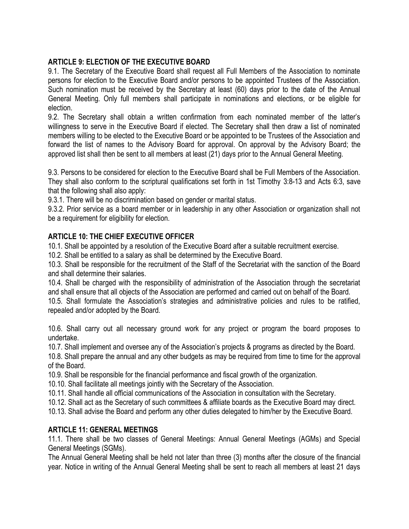## **ARTICLE 9: ELECTION OF THE EXECUTIVE BOARD**

9.1. The Secretary of the Executive Board shall request all Full Members of the Association to nominate persons for election to the Executive Board and/or persons to be appointed Trustees of the Association. Such nomination must be received by the Secretary at least (60) days prior to the date of the Annual General Meeting. Only full members shall participate in nominations and elections, or be eligible for election.

9.2. The Secretary shall obtain a written confirmation from each nominated member of the latter's willingness to serve in the Executive Board if elected. The Secretary shall then draw a list of nominated members willing to be elected to the Executive Board or be appointed to be Trustees of the Association and forward the list of names to the Advisory Board for approval. On approval by the Advisory Board; the approved list shall then be sent to all members at least (21) days prior to the Annual General Meeting.

9.3. Persons to be considered for election to the Executive Board shall be Full Members of the Association. They shall also conform to the scriptural qualifications set forth in 1st Timothy 3:8-13 and Acts 6:3, save that the following shall also apply:

9.3.1. There will be no discrimination based on gender or marital status.

9.3.2. Prior service as a board member or in leadership in any other Association or organization shall not be a requirement for eligibility for election.

## **ARTICLE 10: THE CHIEF EXECUTIVE OFFICER**

10.1. Shall be appointed by a resolution of the Executive Board after a suitable recruitment exercise.

10.2. Shall be entitled to a salary as shall be determined by the Executive Board.

10.3. Shall be responsible for the recruitment of the Staff of the Secretariat with the sanction of the Board and shall determine their salaries.

10.4. Shall be charged with the responsibility of administration of the Association through the secretariat and shall ensure that all objects of the Association are performed and carried out on behalf of the Board.

10.5. Shall formulate the Association's strategies and administrative policies and rules to be ratified, repealed and/or adopted by the Board.

10.6. Shall carry out all necessary ground work for any project or program the board proposes to undertake.

10.7. Shall implement and oversee any of the Association's projects & programs as directed by the Board.

10.8. Shall prepare the annual and any other budgets as may be required from time to time for the approval of the Board.

10.9. Shall be responsible for the financial performance and fiscal growth of the organization.

10.10. Shall facilitate all meetings jointly with the Secretary of the Association.

10.11. Shall handle all official communications of the Association in consultation with the Secretary.

10.12. Shall act as the Secretary of such committees & affiliate boards as the Executive Board may direct.

10.13. Shall advise the Board and perform any other duties delegated to him/her by the Executive Board.

#### **ARTICLE 11: GENERAL MEETINGS**

11.1. There shall be two classes of General Meetings: Annual General Meetings (AGMs) and Special General Meetings (SGMs).

The Annual General Meeting shall be held not later than three (3) months after the closure of the financial year. Notice in writing of the Annual General Meeting shall be sent to reach all members at least 21 days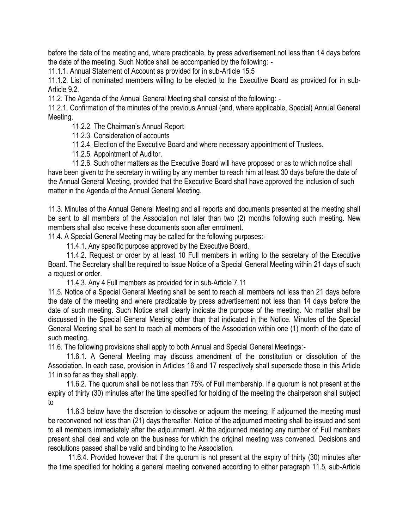before the date of the meeting and, where practicable, by press advertisement not less than 14 days before the date of the meeting. Such Notice shall be accompanied by the following: -

11.1.1. Annual Statement of Account as provided for in sub-Article 15.5

11.1.2. List of nominated members willing to be elected to the Executive Board as provided for in sub-Article 9.2.

11.2. The Agenda of the Annual General Meeting shall consist of the following: -

11.2.1. Confirmation of the minutes of the previous Annual (and, where applicable, Special) Annual General Meeting.

11.2.2. The Chairman's Annual Report

11.2.3. Consideration of accounts

11.2.4. Election of the Executive Board and where necessary appointment of Trustees.

11.2.5. Appointment of Auditor.

 11.2.6. Such other matters as the Executive Board will have proposed or as to which notice shall have been given to the secretary in writing by any member to reach him at least 30 days before the date of the Annual General Meeting, provided that the Executive Board shall have approved the inclusion of such matter in the Agenda of the Annual General Meeting.

11.3. Minutes of the Annual General Meeting and all reports and documents presented at the meeting shall be sent to all members of the Association not later than two (2) months following such meeting. New members shall also receive these documents soon after enrolment.

11.4. A Special General Meeting may be called for the following purposes:-

11.4.1. Any specific purpose approved by the Executive Board.

 11.4.2. Request or order by at least 10 Full members in writing to the secretary of the Executive Board. The Secretary shall be required to issue Notice of a Special General Meeting within 21 days of such a request or order.

11.4.3. Any 4 Full members as provided for in sub-Article 7.11

11.5. Notice of a Special General Meeting shall be sent to reach all members not less than 21 days before the date of the meeting and where practicable by press advertisement not less than 14 days before the date of such meeting. Such Notice shall clearly indicate the purpose of the meeting. No matter shall be discussed in the Special General Meeting other than that indicated in the Notice. Minutes of the Special General Meeting shall be sent to reach all members of the Association within one (1) month of the date of such meeting.

11.6. The following provisions shall apply to both Annual and Special General Meetings:-

 11.6.1. A General Meeting may discuss amendment of the constitution or dissolution of the Association. In each case, provision in Articles 16 and 17 respectively shall supersede those in this Article 11 in so far as they shall apply.

 11.6.2. The quorum shall be not less than 75% of Full membership. If a quorum is not present at the expiry of thirty (30) minutes after the time specified for holding of the meeting the chairperson shall subject to

 11.6.3 below have the discretion to dissolve or adjourn the meeting; If adjourned the meeting must be reconvened not less than (21) days thereafter. Notice of the adjourned meeting shall be issued and sent to all members immediately after the adjournment. At the adjourned meeting any number of Full members present shall deal and vote on the business for which the original meeting was convened. Decisions and resolutions passed shall be valid and binding to the Association.

 11.6.4. Provided however that if the quorum is not present at the expiry of thirty (30) minutes after the time specified for holding a general meeting convened according to either paragraph 11.5, sub-Article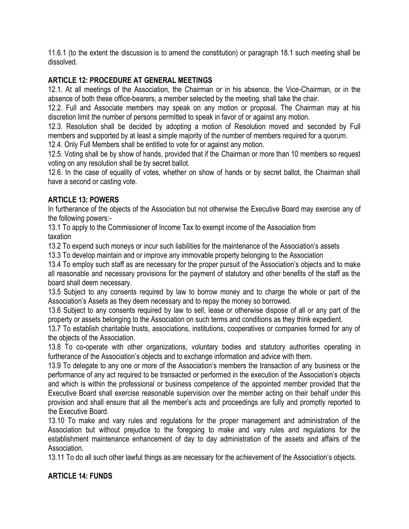11.6.1 (to the extent the discussion is to amend the constitution) or paragraph 18.1 such meeting shall be dissolved.

#### **ARTICLE 12: PROCEDURE AT GENERAL MEETINGS**

12.1. At all meetings of the Association, the Chairman or in his absence, the Vice-Chairman, or in the absence of both these office-bearers, a member selected by the meeting, shall take the chair.

12.2. Full and Associate members may speak on any motion or proposal. The Chairman may at his discretion limit the number of persons permitted to speak in favor of or against any motion.

12.3. Resolution shall be decided by adopting a motion of Resolution moved and seconded by Full members and supported by at least a simple majority of the number of members required for a quorum.

12.4. Only Full Members shall be entitled to vote for or against any motion.

12.5. Voting shall be by show of hands, provided that if the Chairman or more than 10 members so request voting on any resolution shall be by secret ballot.

12.6. In the case of equality of votes, whether on show of hands or by secret ballot, the Chairman shall have a second or casting vote.

#### **ARTICLE 13: POWERS**

In furtherance of the objects of the Association but not otherwise the Executive Board may exercise any of the following powers:-

13.1 To apply to the Commissioner of Income Tax to exempt income of the Association from taxation

13.2 To expend such moneys or incur such liabilities for the maintenance of the Association's assets

13.3 To develop maintain and or improve any immovable property belonging to the Association

13.4 To employ such staff as are necessary for the proper pursuit of the Association's objects and to make all reasonable and necessary provisions for the payment of statutory and other benefits of the staff as the board shall deem necessary.

13.5 Subject to any consents required by law to borrow money and to charge the whole or part of the Association's Assets as they deem necessary and to repay the money so borrowed.

13.6 Subject to any consents required by law to sell, lease or otherwise dispose of all or any part of the property or assets belonging to the Association on such terms and conditions as they think expedient.

13.7 To establish charitable trusts, associations, institutions, cooperatives or companies formed for any of the objects of the Association.

13.8 To co-operate with other organizations, voluntary bodies and statutory authorities operating in furtherance of the Association's objects and to exchange information and advice with them.

13.9 To delegate to any one or more of the Association's members the transaction of any business or the performance of any act required to be transacted or performed in the execution of the Association's objects and which is within the professional or business competence of the appointed member provided that the Executive Board shall exercise reasonable supervision over the member acting on their behalf under this provision and shall ensure that all the member's acts and proceedings are fully and promptly reported to the Executive Board.

13.10 To make and vary rules and regulations for the proper management and administration of the Association but without prejudice to the foregoing to make and vary rules and regulations for the establishment maintenance enhancement of day to day administration of the assets and affairs of the Association.

13.11 To do all such other lawful things as are necessary for the achievement of the Association's objects.

## **ARTICLE 14: FUNDS**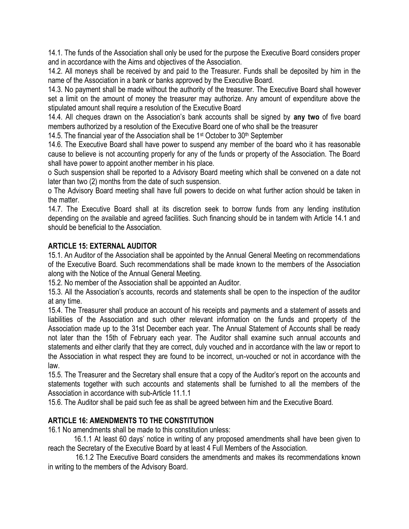14.1. The funds of the Association shall only be used for the purpose the Executive Board considers proper and in accordance with the Aims and objectives of the Association.

14.2. All moneys shall be received by and paid to the Treasurer. Funds shall be deposited by him in the name of the Association in a bank or banks approved by the Executive Board.

14.3. No payment shall be made without the authority of the treasurer. The Executive Board shall however set a limit on the amount of money the treasurer may authorize. Any amount of expenditure above the stipulated amount shall require a resolution of the Executive Board

14.4. All cheques drawn on the Association's bank accounts shall be signed by **any two** of five board members authorized by a resolution of the Executive Board one of who shall be the treasurer

14.5. The financial year of the Association shall be  $1<sup>st</sup>$  October to  $30<sup>th</sup>$  September

14.6. The Executive Board shall have power to suspend any member of the board who it has reasonable cause to believe is not accounting properly for any of the funds or property of the Association. The Board shall have power to appoint another member in his place.

o Such suspension shall be reported to a Advisory Board meeting which shall be convened on a date not later than two (2) months from the date of such suspension.

o The Advisory Board meeting shall have full powers to decide on what further action should be taken in the matter.

14.7. The Executive Board shall at its discretion seek to borrow funds from any lending institution depending on the available and agreed facilities. Such financing should be in tandem with Article 14.1 and should be beneficial to the Association.

### **ARTICLE 15: EXTERNAL AUDITOR**

15.1. An Auditor of the Association shall be appointed by the Annual General Meeting on recommendations of the Executive Board. Such recommendations shall be made known to the members of the Association along with the Notice of the Annual General Meeting.

15.2. No member of the Association shall be appointed an Auditor.

15.3. All the Association's accounts, records and statements shall be open to the inspection of the auditor at any time.

15.4. The Treasurer shall produce an account of his receipts and payments and a statement of assets and liabilities of the Association and such other relevant information on the funds and property of the Association made up to the 31st December each year. The Annual Statement of Accounts shall be ready not later than the 15th of February each year. The Auditor shall examine such annual accounts and statements and either clarify that they are correct, duly vouched and in accordance with the law or report to the Association in what respect they are found to be incorrect, un-vouched or not in accordance with the law.

15.5. The Treasurer and the Secretary shall ensure that a copy of the Auditor's report on the accounts and statements together with such accounts and statements shall be furnished to all the members of the Association in accordance with sub-Article 11.1.1

15.6. The Auditor shall be paid such fee as shall be agreed between him and the Executive Board.

#### **ARTICLE 16: AMENDMENTS TO THE CONSTITUTION**

16.1 No amendments shall be made to this constitution unless:

 16.1.1 At least 60 days' notice in writing of any proposed amendments shall have been given to reach the Secretary of the Executive Board by at least 4 Full Members of the Association.

 16.1.2 The Executive Board considers the amendments and makes its recommendations known in writing to the members of the Advisory Board.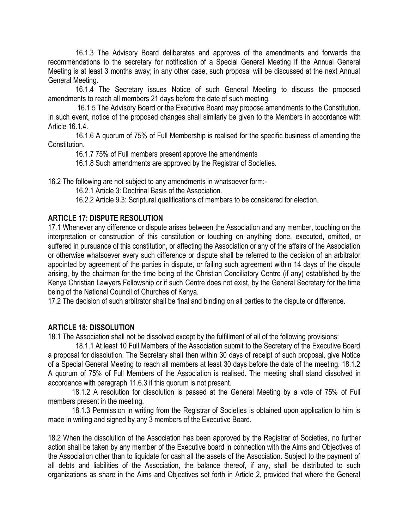16.1.3 The Advisory Board deliberates and approves of the amendments and forwards the recommendations to the secretary for notification of a Special General Meeting if the Annual General Meeting is at least 3 months away; in any other case, such proposal will be discussed at the next Annual General Meeting.

 16.1.4 The Secretary issues Notice of such General Meeting to discuss the proposed amendments to reach all members 21 days before the date of such meeting.

 16.1.5 The Advisory Board or the Executive Board may propose amendments to the Constitution. In such event, notice of the proposed changes shall similarly be given to the Members in accordance with Article 16.1.4.

 16.1.6 A quorum of 75% of Full Membership is realised for the specific business of amending the Constitution.

16.1.7 75% of Full members present approve the amendments

16.1.8 Such amendments are approved by the Registrar of Societies.

16.2 The following are not subject to any amendments in whatsoever form:-

16.2.1 Article 3: Doctrinal Basis of the Association.

16.2.2 Article 9.3: Scriptural qualifications of members to be considered for election.

#### **ARTICLE 17: DISPUTE RESOLUTION**

17.1 Whenever any difference or dispute arises between the Association and any member, touching on the interpretation or construction of this constitution or touching on anything done, executed, omitted, or suffered in pursuance of this constitution, or affecting the Association or any of the affairs of the Association or otherwise whatsoever every such difference or dispute shall be referred to the decision of an arbitrator appointed by agreement of the parties in dispute, or failing such agreement within 14 days of the dispute arising, by the chairman for the time being of the Christian Conciliatory Centre (if any) established by the Kenya Christian Lawyers Fellowship or if such Centre does not exist, by the General Secretary for the time being of the National Council of Churches of Kenya.

17.2 The decision of such arbitrator shall be final and binding on all parties to the dispute or difference.

#### **ARTICLE 18: DISSOLUTION**

18.1 The Association shall not be dissolved except by the fulfillment of all of the following provisions:

 18.1.1 At least 10 Full Members of the Association submit to the Secretary of the Executive Board a proposal for dissolution. The Secretary shall then within 30 days of receipt of such proposal, give Notice of a Special General Meeting to reach all members at least 30 days before the date of the meeting. 18.1.2 A quorum of 75% of Full Members of the Association is realised. The meeting shall stand dissolved in accordance with paragraph 11.6.3 if this quorum is not present.

 18.1.2 A resolution for dissolution is passed at the General Meeting by a vote of 75% of Full members present in the meeting.

 18.1.3 Permission in writing from the Registrar of Societies is obtained upon application to him is made in writing and signed by any 3 members of the Executive Board.

18.2 When the dissolution of the Association has been approved by the Registrar of Societies, no further action shall be taken by any member of the Executive board in connection with the Aims and Objectives of the Association other than to liquidate for cash all the assets of the Association. Subject to the payment of all debts and liabilities of the Association, the balance thereof, if any, shall be distributed to such organizations as share in the Aims and Objectives set forth in Article 2, provided that where the General